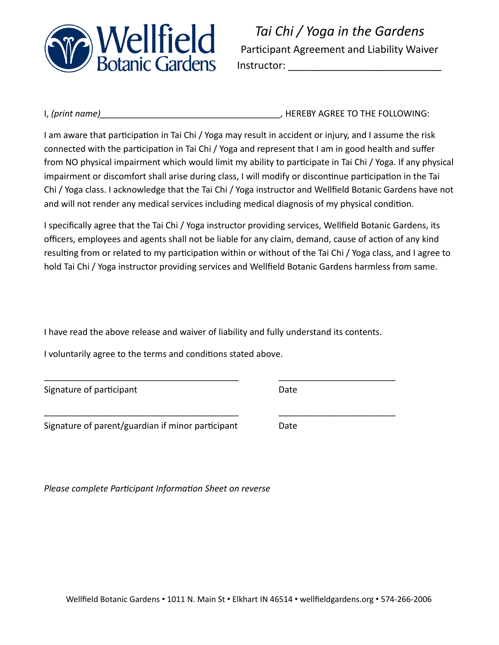

*Tai Chi / Yoga in the Gardens*  Participant Agreement and Liability Waiver Instructor: \_\_\_\_\_\_\_\_\_\_\_\_\_\_\_\_\_\_\_\_\_\_\_\_\_\_\_

I, *(print name)\_\_\_\_\_\_\_\_\_\_\_\_\_\_\_\_\_\_\_\_\_\_\_\_\_\_\_\_\_\_\_\_\_\_\_\_\_,* HEREBY AGREE TO THE FOLLOWING:

I am aware that participation in Tai Chi / Yoga may result in accident or injury, and I assume the risk connected with the participation in Tai Chi / Yoga and represent that I am in good health and suffer from NO physical impairment which would limit my ability to participate in Tai Chi / Yoga. If any physical impairment or discomfort shall arise during class, I will modify or discontinue participation in the Tai Chi / Yoga class. I acknowledge that the Tai Chi / Yoga instructor and Wellfield Botanic Gardens have not and will not render any medical services including medical diagnosis of my physical condition.

I specifically agree that the Tai Chi / Yoga instructor providing services, Wellfield Botanic Gardens, its officers, employees and agents shall not be liable for any claim, demand, cause of action of any kind resulting from or related to my participation within or without of the Tai Chi / Yoga class, and I agree to hold Tai Chi / Yoga instructor providing services and Wellfield Botanic Gardens harmless from same.

I have read the above release and waiver of liability and fully understand its contents.

\_\_\_\_\_\_\_\_\_\_\_\_\_\_\_\_\_\_\_\_\_\_\_\_\_\_\_\_\_\_\_\_\_\_\_\_\_\_\_\_ \_\_\_\_\_\_\_\_\_\_\_\_\_\_\_\_\_\_\_\_\_\_\_\_

\_\_\_\_\_\_\_\_\_\_\_\_\_\_\_\_\_\_\_\_\_\_\_\_\_\_\_\_\_\_\_\_\_\_\_\_\_\_\_\_ \_\_\_\_\_\_\_\_\_\_\_\_\_\_\_\_\_\_\_\_\_\_\_\_

I voluntarily agree to the terms and conditions stated above.

Signature of participant and the control of the Date

Signature of parent/guardian if minor participant Date

*Please complete Participant Information Sheet on reverse*